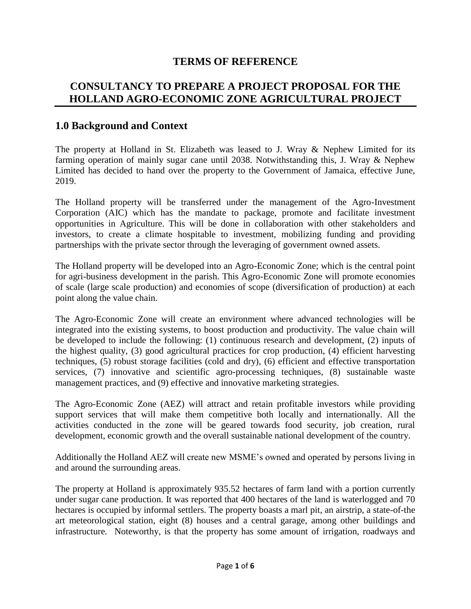## **TERMS OF REFERENCE**

# **CONSULTANCY TO PREPARE A PROJECT PROPOSAL FOR THE HOLLAND AGRO-ECONOMIC ZONE AGRICULTURAL PROJECT**

#### **1.0 Background and Context**

The property at Holland in St. Elizabeth was leased to J. Wray & Nephew Limited for its farming operation of mainly sugar cane until 2038. Notwithstanding this, J. Wray & Nephew Limited has decided to hand over the property to the Government of Jamaica, effective June, 2019.

The Holland property will be transferred under the management of the Agro-Investment Corporation (AIC) which has the mandate to package, promote and facilitate investment opportunities in Agriculture. This will be done in collaboration with other stakeholders and investors, to create a climate hospitable to investment, mobilizing funding and providing partnerships with the private sector through the leveraging of government owned assets.

The Holland property will be developed into an Agro-Economic Zone; which is the central point for agri-business development in the parish. This Agro-Economic Zone will promote economies of scale (large scale production) and economies of scope (diversification of production) at each point along the value chain.

The Agro-Economic Zone will create an environment where advanced technologies will be integrated into the existing systems, to boost production and productivity. The value chain will be developed to include the following: (1) continuous research and development, (2) inputs of the highest quality, (3) good agricultural practices for crop production, (4) efficient harvesting techniques, (5) robust storage facilities (cold and dry), (6) efficient and effective transportation services, (7) innovative and scientific agro-processing techniques, (8) sustainable waste management practices, and (9) effective and innovative marketing strategies.

The Agro-Economic Zone (AEZ) will attract and retain profitable investors while providing support services that will make them competitive both locally and internationally. All the activities conducted in the zone will be geared towards food security, job creation, rural development, economic growth and the overall sustainable national development of the country.

Additionally the Holland AEZ will create new MSME's owned and operated by persons living in and around the surrounding areas.

The property at Holland is approximately 935.52 hectares of farm land with a portion currently under sugar cane production. It was reported that 400 hectares of the land is waterlogged and 70 hectares is occupied by informal settlers. The property boasts a marl pit, an airstrip, a state-of-the art meteorological station, eight (8) houses and a central garage, among other buildings and infrastructure*.* Noteworthy, is that the property has some amount of irrigation, roadways and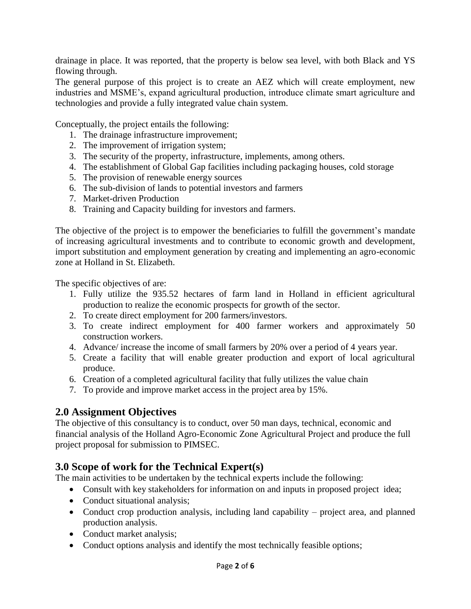drainage in place. It was reported, that the property is below sea level, with both Black and YS flowing through.

The general purpose of this project is to create an AEZ which will create employment, new industries and MSME's, expand agricultural production, introduce climate smart agriculture and technologies and provide a fully integrated value chain system.

Conceptually, the project entails the following:

- 1. The drainage infrastructure improvement;
- 2. The improvement of irrigation system;
- 3. The security of the property, infrastructure, implements, among others.
- 4. The establishment of Global Gap facilities including packaging houses, cold storage
- 5. The provision of renewable energy sources
- 6. The sub-division of lands to potential investors and farmers
- 7. Market-driven Production
- 8. Training and Capacity building for investors and farmers.

The objective of the project is to empower the beneficiaries to fulfill the government's mandate of increasing agricultural investments and to contribute to economic growth and development, import substitution and employment generation by creating and implementing an agro-economic zone at Holland in St. Elizabeth.

The specific objectives of are:

- 1. Fully utilize the 935.52 hectares of farm land in Holland in efficient agricultural production to realize the economic prospects for growth of the sector.
- 2. To create direct employment for 200 farmers/investors.
- 3. To create indirect employment for 400 farmer workers and approximately 50 construction workers.
- 4. Advance/ increase the income of small farmers by 20% over a period of 4 years year.
- 5. Create a facility that will enable greater production and export of local agricultural produce.
- 6. Creation of a completed agricultural facility that fully utilizes the value chain
- 7. To provide and improve market access in the project area by 15%.

## **2.0 Assignment Objectives**

The objective of this consultancy is to conduct, over 50 man days, technical, economic and financial analysis of the Holland Agro-Economic Zone Agricultural Project and produce the full project proposal for submission to PIMSEC.

# **3.0 Scope of work for the Technical Expert(s)**

The main activities to be undertaken by the technical experts include the following:

- Consult with key stakeholders for information on and inputs in proposed project idea;
- Conduct situational analysis;
- Conduct crop production analysis, including land capability project area, and planned production analysis.
- Conduct market analysis;
- Conduct options analysis and identify the most technically feasible options;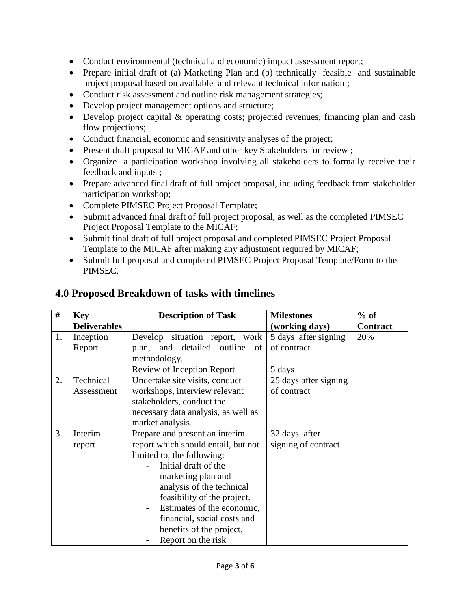- Conduct environmental (technical and economic) impact assessment report;
- Prepare initial draft of (a) Marketing Plan and (b) technically feasible and sustainable project proposal based on available and relevant technical information ;
- Conduct risk assessment and outline risk management strategies;
- Develop project management options and structure;
- Develop project capital & operating costs; projected revenues, financing plan and cash flow projections;
- Conduct financial, economic and sensitivity analyses of the project;
- Present draft proposal to MICAF and other key Stakeholders for review ;
- Organize a participation workshop involving all stakeholders to formally receive their feedback and inputs ;
- Prepare advanced final draft of full project proposal, including feedback from stakeholder participation workshop;
- Complete PIMSEC Project Proposal Template;
- Submit advanced final draft of full project proposal, as well as the completed PIMSEC Project Proposal Template to the MICAF;
- Submit final draft of full project proposal and completed PIMSEC Project Proposal Template to the MICAF after making any adjustment required by MICAF;
- Submit full proposal and completed PIMSEC Project Proposal Template/Form to the PIMSEC.

| #  | <b>Key</b>          | <b>Description of Task</b>          | <b>Milestones</b>     | $%$ of          |
|----|---------------------|-------------------------------------|-----------------------|-----------------|
|    | <b>Deliverables</b> |                                     | (working days)        | <b>Contract</b> |
| 1. | Inception           | Develop situation report, work      | 5 days after signing  | 20%             |
|    | Report              | plan, and detailed<br>outline of    | of contract           |                 |
|    |                     | methodology.                        |                       |                 |
|    |                     | Review of Inception Report          | 5 days                |                 |
| 2. | Technical           | Undertake site visits, conduct      | 25 days after signing |                 |
|    | Assessment          | workshops, interview relevant       | of contract           |                 |
|    |                     | stakeholders, conduct the           |                       |                 |
|    |                     | necessary data analysis, as well as |                       |                 |
|    |                     | market analysis.                    |                       |                 |
| 3. | Interim             | Prepare and present an interim      | 32 days after         |                 |
|    | report              | report which should entail, but not | signing of contract   |                 |
|    |                     | limited to, the following:          |                       |                 |
|    |                     | Initial draft of the                |                       |                 |
|    |                     | marketing plan and                  |                       |                 |
|    |                     | analysis of the technical           |                       |                 |
|    |                     | feasibility of the project.         |                       |                 |
|    |                     | Estimates of the economic,          |                       |                 |
|    |                     | financial, social costs and         |                       |                 |
|    |                     | benefits of the project.            |                       |                 |
|    |                     | Report on the risk                  |                       |                 |

## **4.0 Proposed Breakdown of tasks with timelines**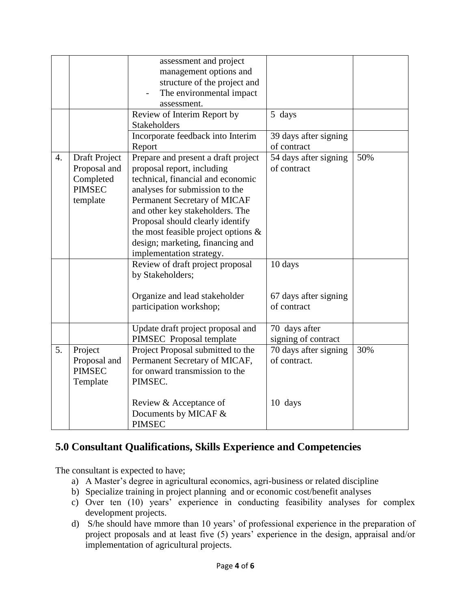|                  |                                                                                | assessment and project<br>management options and<br>structure of the project and<br>The environmental impact<br>assessment.                                                                                                                                                                                                                               |                                       |     |
|------------------|--------------------------------------------------------------------------------|-----------------------------------------------------------------------------------------------------------------------------------------------------------------------------------------------------------------------------------------------------------------------------------------------------------------------------------------------------------|---------------------------------------|-----|
|                  |                                                                                | Review of Interim Report by<br><b>Stakeholders</b>                                                                                                                                                                                                                                                                                                        | 5 days                                |     |
|                  |                                                                                | Incorporate feedback into Interim<br>Report                                                                                                                                                                                                                                                                                                               | 39 days after signing<br>of contract  |     |
| $\overline{4}$ . | <b>Draft Project</b><br>Proposal and<br>Completed<br><b>PIMSEC</b><br>template | Prepare and present a draft project<br>proposal report, including<br>technical, financial and economic<br>analyses for submission to the<br>Permanent Secretary of MICAF<br>and other key stakeholders. The<br>Proposal should clearly identify<br>the most feasible project options $\&$<br>design; marketing, financing and<br>implementation strategy. | 54 days after signing<br>of contract  | 50% |
|                  |                                                                                | Review of draft project proposal<br>by Stakeholders;                                                                                                                                                                                                                                                                                                      | 10 days                               |     |
|                  |                                                                                | Organize and lead stakeholder<br>participation workshop;                                                                                                                                                                                                                                                                                                  | 67 days after signing<br>of contract  |     |
|                  |                                                                                | Update draft project proposal and<br>PIMSEC Proposal template                                                                                                                                                                                                                                                                                             | 70 days after<br>signing of contract  |     |
| 5.               | Project<br>Proposal and<br><b>PIMSEC</b><br>Template                           | Project Proposal submitted to the<br>Permanent Secretary of MICAF,<br>for onward transmission to the<br>PIMSEC.                                                                                                                                                                                                                                           | 70 days after signing<br>of contract. | 30% |
|                  |                                                                                | Review & Acceptance of<br>Documents by MICAF &<br><b>PIMSEC</b>                                                                                                                                                                                                                                                                                           | 10 days                               |     |

# **5.0 Consultant Qualifications, Skills Experience and Competencies**

The consultant is expected to have;

- a) A Master's degree in agricultural economics, agri-business or related discipline
- b) Specialize training in project planning and or economic cost/benefit analyses
- c) Over ten (10) years' experience in conducting feasibility analyses for complex development projects.
- d) S/he should have mmore than 10 years' of professional experience in the preparation of project proposals and at least five (5) years' experience in the design, appraisal and/or implementation of agricultural projects.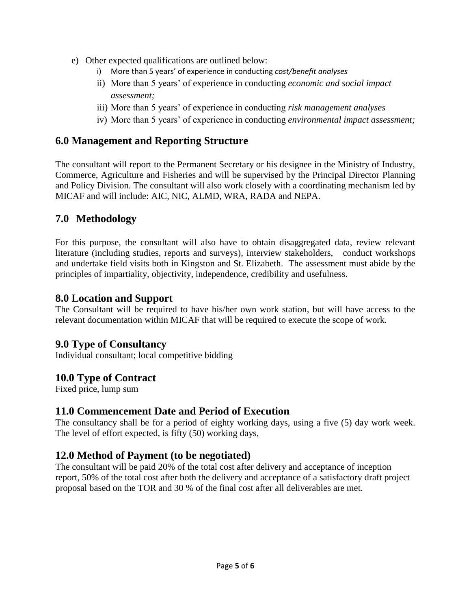- e) Other expected qualifications are outlined below:
	- i) More than 5 years' of experience in conducting *cost/benefit analyses*
	- ii) More than 5 years' of experience in conducting *economic and social impact assessment;*
	- iii) More than 5 years' of experience in conducting *risk management analyses*
	- iv) More than 5 years' of experience in conducting *environmental impact assessment;*

#### **6.0 Management and Reporting Structure**

The consultant will report to the Permanent Secretary or his designee in the Ministry of Industry, Commerce, Agriculture and Fisheries and will be supervised by the Principal Director Planning and Policy Division. The consultant will also work closely with a coordinating mechanism led by MICAF and will include: AIC, NIC, ALMD, WRA, RADA and NEPA.

## **7.0 Methodology**

For this purpose, the consultant will also have to obtain disaggregated data, review relevant literature (including studies, reports and surveys), interview stakeholders, conduct workshops and undertake field visits both in Kingston and St. Elizabeth. The assessment must abide by the principles of impartiality, objectivity, independence, credibility and usefulness.

#### **8.0 Location and Support**

The Consultant will be required to have his/her own work station, but will have access to the relevant documentation within MICAF that will be required to execute the scope of work.

## **9.0 Type of Consultancy**

Individual consultant; local competitive bidding

## **10.0 Type of Contract**

Fixed price, lump sum

#### **11.0 Commencement Date and Period of Execution**

The consultancy shall be for a period of eighty working days, using a five (5) day work week. The level of effort expected, is fifty (50) working days,

#### **12.0 Method of Payment (to be negotiated)**

The consultant will be paid 20% of the total cost after delivery and acceptance of inception report, 50% of the total cost after both the delivery and acceptance of a satisfactory draft project proposal based on the TOR and 30 % of the final cost after all deliverables are met.